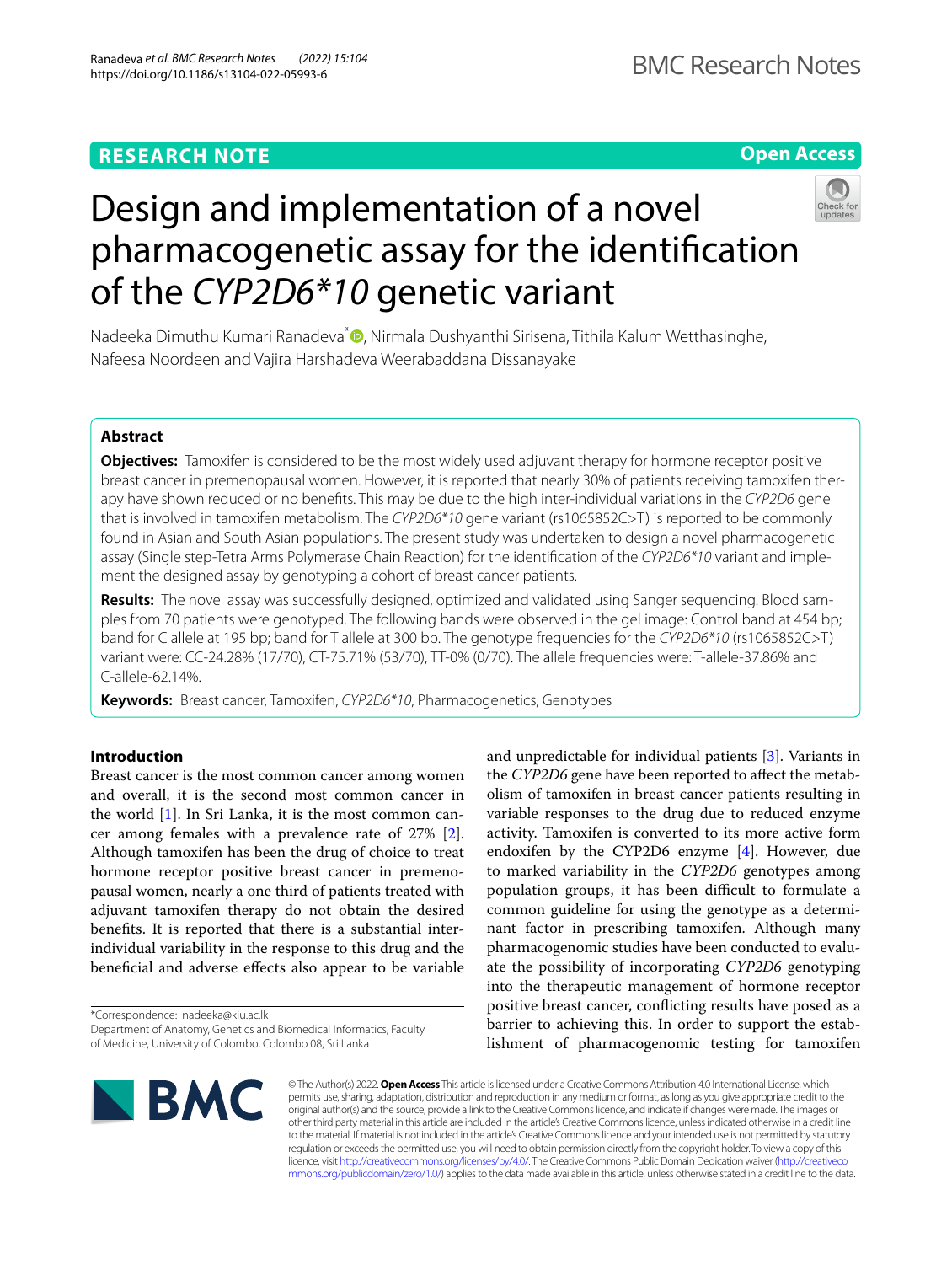# **Open Access**



# Design and implementation of a novel pharmacogenetic assay for the identifcation of the *CYP2D6\*10* genetic variant

Nadeeka Dimuthu Kumari Ranadeva<sup>\*</sup> D[,](http://orcid.org/0000-0002-6971-674X) Nirmala Dushyanthi Sirisena, Tithila Kalum Wetthasinghe, Nafeesa Noordeen and Vajira Harshadeva Weerabaddana Dissanayake

# **Abstract**

**Objectives:** Tamoxifen is considered to be the most widely used adjuvant therapy for hormone receptor positive breast cancer in premenopausal women. However, it is reported that nearly 30% of patients receiving tamoxifen therapy have shown reduced or no benefts. This may be due to the high inter-individual variations in the *CYP2D6* gene that is involved in tamoxifen metabolism. The *CYP2D6\*10* gene variant (rs1065852C>T) is reported to be commonly found in Asian and South Asian populations. The present study was undertaken to design a novel pharmacogenetic assay (Single step-Tetra Arms Polymerase Chain Reaction) for the identifcation of the *CYP2D6\*10* variant and implement the designed assay by genotyping a cohort of breast cancer patients.

**Results:** The novel assay was successfully designed, optimized and validated using Sanger sequencing. Blood samples from 70 patients were genotyped. The following bands were observed in the gel image: Control band at 454 bp; band for C allele at 195 bp; band for T allele at 300 bp. The genotype frequencies for the *CYP2D6\*10* (rs1065852C>T) variant were: CC-24.28% (17/70), CT-75.71% (53/70), TT-0% (0/70). The allele frequencies were: T-allele-37.86% and C-allele-62.14%.

**Keywords:** Breast cancer, Tamoxifen, *CYP2D6\*10*, Pharmacogenetics, Genotypes

## **Introduction**

Breast cancer is the most common cancer among women and overall, it is the second most common cancer in the world [[1\]](#page-4-0). In Sri Lanka, it is the most common cancer among females with a prevalence rate of 27% [\[2](#page-4-1)]. Although tamoxifen has been the drug of choice to treat hormone receptor positive breast cancer in premenopausal women, nearly a one third of patients treated with adjuvant tamoxifen therapy do not obtain the desired benefts. It is reported that there is a substantial interindividual variability in the response to this drug and the benefcial and adverse efects also appear to be variable

\*Correspondence: nadeeka@kiu.ac.lk

and unpredictable for individual patients [\[3\]](#page-4-2). Variants in the *CYP2D6* gene have been reported to affect the metabolism of tamoxifen in breast cancer patients resulting in variable responses to the drug due to reduced enzyme activity. Tamoxifen is converted to its more active form endoxifen by the CYP2D6 enzyme [\[4](#page-4-3)]. However, due to marked variability in the *CYP2D6* genotypes among population groups, it has been difficult to formulate a common guideline for using the genotype as a determinant factor in prescribing tamoxifen. Although many pharmacogenomic studies have been conducted to evaluate the possibility of incorporating *CYP2D6* genotyping into the therapeutic management of hormone receptor positive breast cancer, conficting results have posed as a barrier to achieving this. In order to support the establishment of pharmacogenomic testing for tamoxifen



© The Author(s) 2022. **Open Access** This article is licensed under a Creative Commons Attribution 4.0 International License, which permits use, sharing, adaptation, distribution and reproduction in any medium or format, as long as you give appropriate credit to the original author(s) and the source, provide a link to the Creative Commons licence, and indicate if changes were made. The images or other third party material in this article are included in the article's Creative Commons licence, unless indicated otherwise in a credit line to the material. If material is not included in the article's Creative Commons licence and your intended use is not permitted by statutory regulation or exceeds the permitted use, you will need to obtain permission directly from the copyright holder. To view a copy of this licence, visit [http://creativecommons.org/licenses/by/4.0/.](http://creativecommons.org/licenses/by/4.0/) The Creative Commons Public Domain Dedication waiver ([http://creativeco](http://creativecommons.org/publicdomain/zero/1.0/) [mmons.org/publicdomain/zero/1.0/](http://creativecommons.org/publicdomain/zero/1.0/)) applies to the data made available in this article, unless otherwise stated in a credit line to the data.

Department of Anatomy, Genetics and Biomedical Informatics, Faculty of Medicine, University of Colombo, Colombo 08, Sri Lanka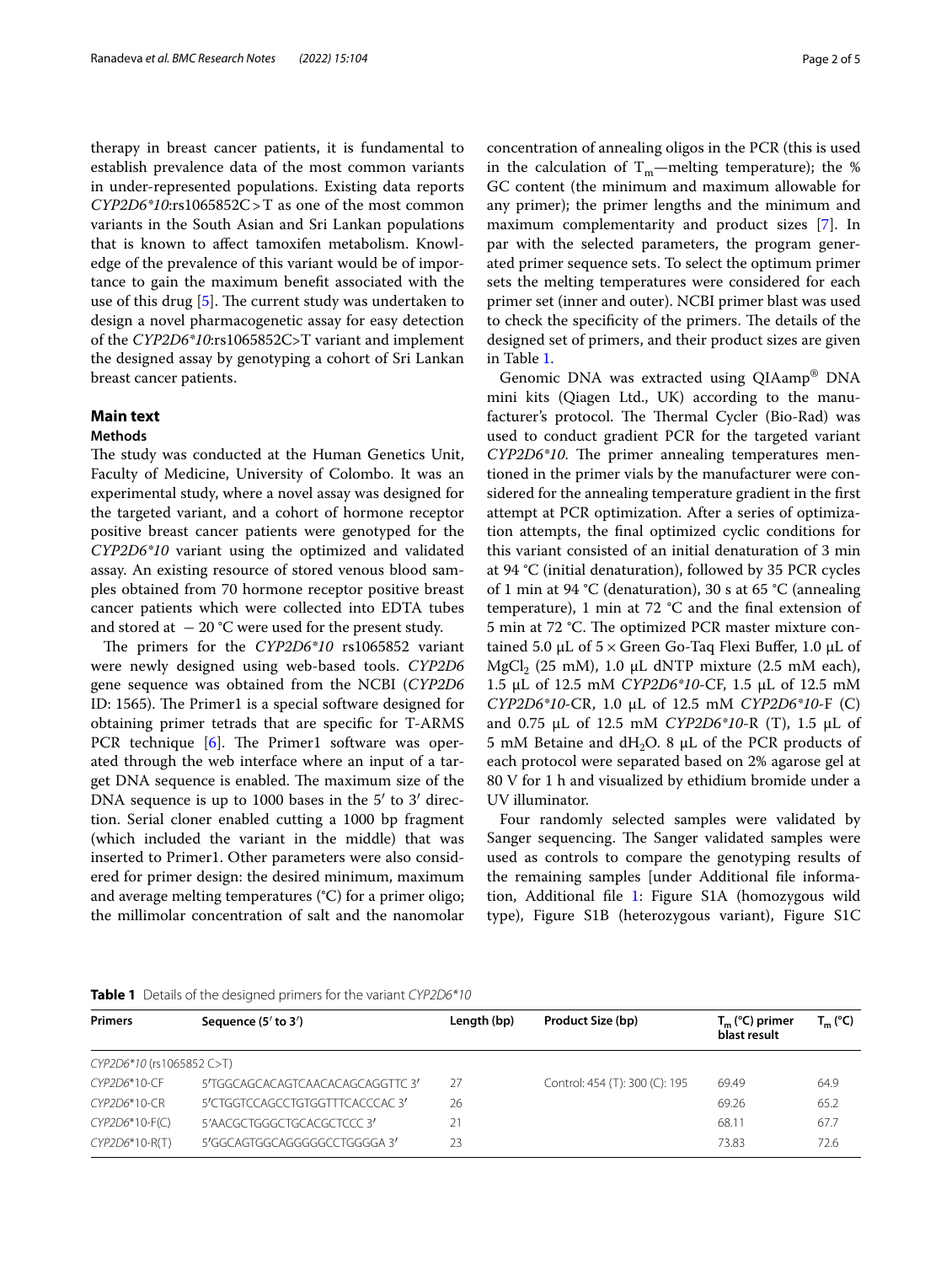therapy in breast cancer patients, it is fundamental to establish prevalence data of the most common variants in under-represented populations. Existing data reports *CYP2D6\*10*:rs1065852C>T as one of the most common variants in the South Asian and Sri Lankan populations that is known to afect tamoxifen metabolism. Knowledge of the prevalence of this variant would be of importance to gain the maximum beneft associated with the use of this drug  $[5]$  $[5]$ . The current study was undertaken to design a novel pharmacogenetic assay for easy detection of the *CYP2D6\*10*:rs1065852C>T variant and implement the designed assay by genotyping a cohort of Sri Lankan breast cancer patients.

## **Main text**

## **Methods**

The study was conducted at the Human Genetics Unit, Faculty of Medicine, University of Colombo. It was an experimental study, where a novel assay was designed for the targeted variant, and a cohort of hormone receptor positive breast cancer patients were genotyped for the *CYP2D6\*10* variant using the optimized and validated assay. An existing resource of stored venous blood samples obtained from 70 hormone receptor positive breast cancer patients which were collected into EDTA tubes and stored at  $-20$  °C were used for the present study.

The primers for the *CYP2D6\*10* rs1065852 variant were newly designed using web-based tools. *CYP2D6* gene sequence was obtained from the NCBI (*CYP2D6* ID: 1565). The Primer1 is a special software designed for obtaining primer tetrads that are specifc for T-ARMS PCR technique  $[6]$  $[6]$ . The Primer1 software was operated through the web interface where an input of a target DNA sequence is enabled. The maximum size of the DNA sequence is up to 1000 bases in the 5' to 3' direction. Serial cloner enabled cutting a 1000 bp fragment (which included the variant in the middle) that was inserted to Primer1. Other parameters were also considered for primer design: the desired minimum, maximum and average melting temperatures (°C) for a primer oligo; the millimolar concentration of salt and the nanomolar concentration of annealing oligos in the PCR (this is used in the calculation of  $\rm T_m{—melting}$  temperature); the  $\%$ GC content (the minimum and maximum allowable for any primer); the primer lengths and the minimum and maximum complementarity and product sizes [\[7\]](#page-4-6). In par with the selected parameters, the program generated primer sequence sets. To select the optimum primer sets the melting temperatures were considered for each primer set (inner and outer). NCBI primer blast was used to check the specificity of the primers. The details of the designed set of primers, and their product sizes are given in Table [1.](#page-1-0)

Genomic DNA was extracted using QIAamp® DNA mini kits (Qiagen Ltd., UK) according to the manufacturer's protocol. The Thermal Cycler (Bio-Rad) was used to conduct gradient PCR for the targeted variant *CYP2D6\*10*. The primer annealing temperatures mentioned in the primer vials by the manufacturer were considered for the annealing temperature gradient in the frst attempt at PCR optimization. After a series of optimization attempts, the fnal optimized cyclic conditions for this variant consisted of an initial denaturation of 3 min at 94 °C (initial denaturation), followed by 35 PCR cycles of 1 min at 94 °C (denaturation), 30 s at 65 °C (annealing temperature), 1 min at 72 °C and the fnal extension of 5 min at 72 °C. The optimized PCR master mixture contained 5.0  $\mu$ L of 5  $\times$  Green Go-Taq Flexi Buffer, 1.0  $\mu$ L of MgCl<sub>2</sub> (25 mM), 1.0  $\mu$ L dNTP mixture (2.5 mM each), 1.5 µL of 12.5 mM *CYP2D6\*10*-CF, 1.5 µL of 12.5 mM *CYP2D6\*10*-CR, 1.0 µL of 12.5 mM *CYP2D6\*10*-F (C) and 0.75 µL of 12.5 mM *CYP2D6\*10*-R (T), 1.5 µL of 5 mM Betaine and dH<sub>2</sub>O. 8  $\mu$ L of the PCR products of each protocol were separated based on 2% agarose gel at 80 V for 1 h and visualized by ethidium bromide under a UV illuminator.

Four randomly selected samples were validated by Sanger sequencing. The Sanger validated samples were used as controls to compare the genotyping results of the remaining samples [under Additional fle information, Additional fle [1](#page-3-0): Figure S1A (homozygous wild type), Figure S1B (heterozygous variant), Figure S1C

<span id="page-1-0"></span>

|  | Table 1 Details of the designed primers for the variant CYP2D6*10 |  |  |  |  |  |  |
|--|-------------------------------------------------------------------|--|--|--|--|--|--|
|--|-------------------------------------------------------------------|--|--|--|--|--|--|

| <b>Primers</b>            | Sequence $(5'$ to $3')$         | Length (bp) | Product Size (bp)              | $T_m$ (°C) primer<br>blast result | $T_m$ (°C) |
|---------------------------|---------------------------------|-------------|--------------------------------|-----------------------------------|------------|
| CYP2D6*10 (rs1065852 C>T) |                                 |             |                                |                                   |            |
| CYP2D6*10-CF              | 5'TGGCAGCACAGTCAACACAGCAGGTTC3' | 27          | Control: 454 (T): 300 (C): 195 | 69.49                             | 64.9       |
| CYP2D6*10-CR              | 5'CTGGTCCAGCCTGTGGTTTCACCCAC3'  | 26          |                                | 69.26                             | 65.2       |
| $CYP2D6*10-F(C)$          | 5'AACGCTGGGCTGCACGCTCCC3'       | 21          |                                | 68.11                             | 67.7       |
| CYP2D6*10-R(T)            | 5'GGCAGTGGCAGGGGGCCTGGGGA 3'    | 23          |                                | 73.83                             | 72.6       |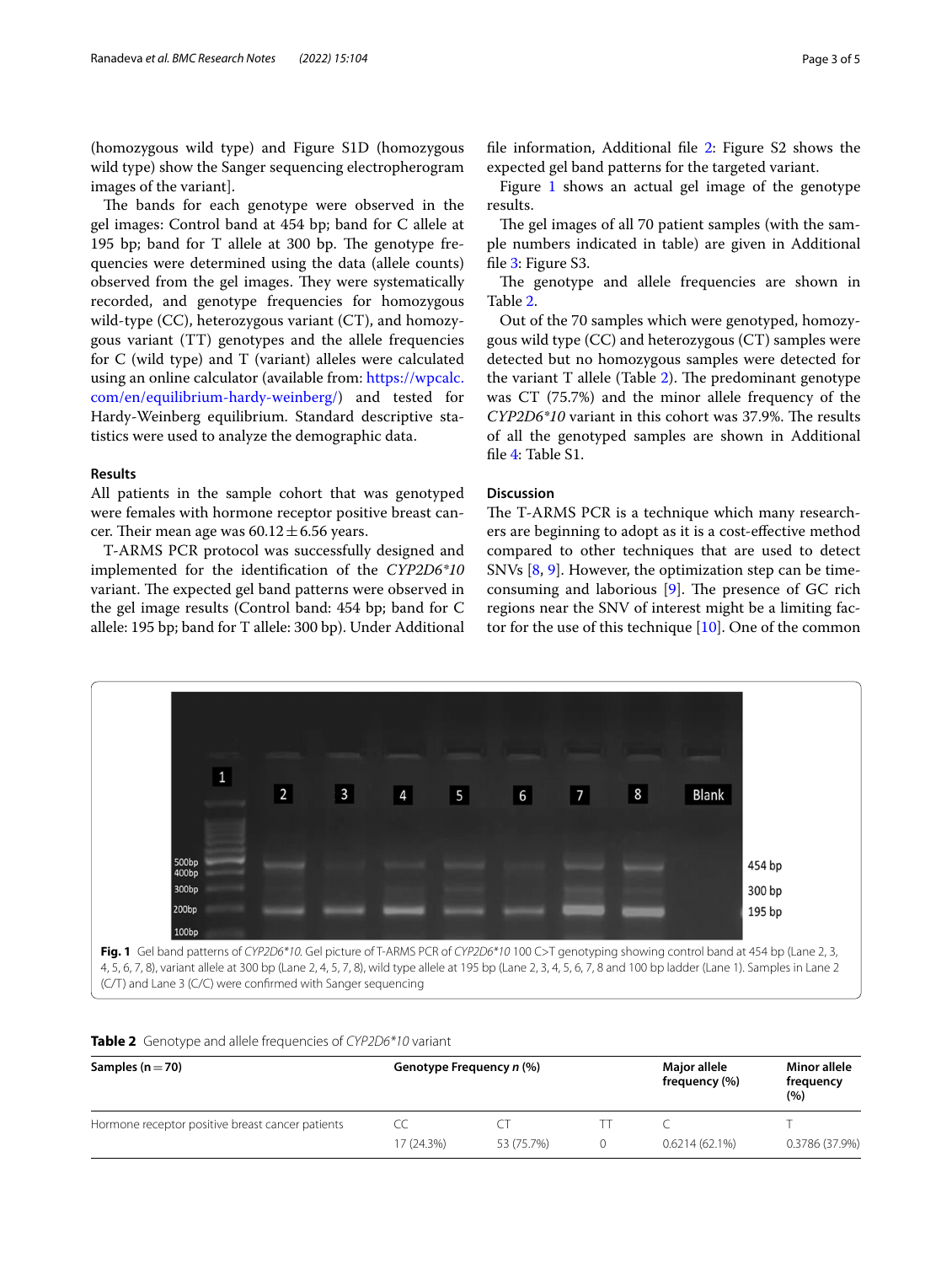(homozygous wild type) and Figure S1D (homozygous wild type) show the Sanger sequencing electropherogram images of the variant].

The bands for each genotype were observed in the gel images: Control band at 454 bp; band for C allele at 195 bp; band for T allele at 300 bp. The genotype frequencies were determined using the data (allele counts) observed from the gel images. They were systematically recorded, and genotype frequencies for homozygous wild-type (CC), heterozygous variant (CT), and homozygous variant (TT) genotypes and the allele frequencies for C (wild type) and T (variant) alleles were calculated using an online calculator (available from: [https://wpcalc.](https://wpcalc.com/en/equilibrium-hardy-weinberg/) [com/en/equilibrium-hardy-weinberg/](https://wpcalc.com/en/equilibrium-hardy-weinberg/)) and tested for Hardy-Weinberg equilibrium. Standard descriptive statistics were used to analyze the demographic data.

## **Results**

All patients in the sample cohort that was genotyped were females with hormone receptor positive breast cancer. Their mean age was  $60.12 \pm 6.56$  years.

T-ARMS PCR protocol was successfully designed and implemented for the identifcation of the *CYP2D6\*10* variant. The expected gel band patterns were observed in the gel image results (Control band: 454 bp; band for C allele: 195 bp; band for T allele: 300 bp). Under Additional fle information, Additional fle [2:](#page-3-1) Figure S2 shows the expected gel band patterns for the targeted variant.

Figure  $1$  shows an actual gel image of the genotype results.

The gel images of all 70 patient samples (with the sample numbers indicated in table) are given in Additional file [3](#page-3-2): Figure S3.

The genotype and allele frequencies are shown in Table [2](#page-2-1).

Out of the 70 samples which were genotyped, homozygous wild type (CC) and heterozygous (CT) samples were detected but no homozygous samples were detected for the variant  $T$  allele (Table [2](#page-2-1)). The predominant genotype was CT (75.7%) and the minor allele frequency of the *CYP2D6\*10* variant in this cohort was 37.9%. The results of all the genotyped samples are shown in Additional fle [4](#page-3-3): Table S1.

## **Discussion**

The T-ARMS PCR is a technique which many researchers are beginning to adopt as it is a cost-efective method compared to other techniques that are used to detect SNVs [\[8,](#page-4-7) [9\]](#page-4-8). However, the optimization step can be timeconsuming and laborious  $[9]$  $[9]$ . The presence of GC rich regions near the SNV of interest might be a limiting factor for the use of this technique [[10\]](#page-4-9). One of the common



<span id="page-2-1"></span><span id="page-2-0"></span>

|  | Table 2 Genotype and allele frequencies of CYP2D6*10 variant |  |  |  |  |
|--|--------------------------------------------------------------|--|--|--|--|
|--|--------------------------------------------------------------|--|--|--|--|

| Samples ( $n = 70$ )                             |            | Genotype Frequency n (%) |  |                  | Minor allele<br>frequency<br>(%) |
|--------------------------------------------------|------------|--------------------------|--|------------------|----------------------------------|
| Hormone receptor positive breast cancer patients |            |                          |  |                  |                                  |
|                                                  | 17 (24.3%) | 53 (75.7%)               |  | $0.6214(62.1\%)$ | 0.3786 (37.9%)                   |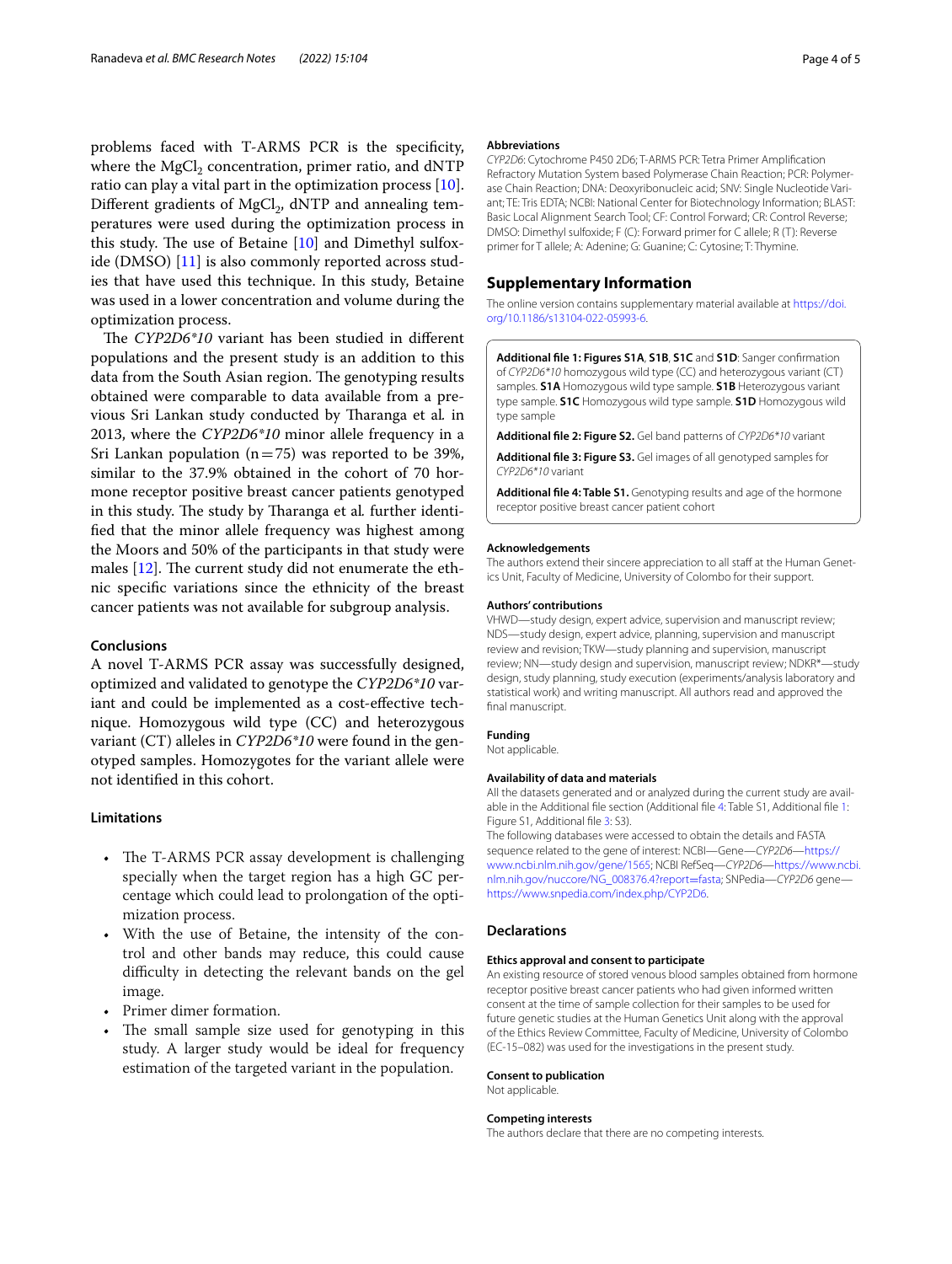problems faced with T-ARMS PCR is the specifcity, where the  $MgCl<sub>2</sub>$  concentration, primer ratio, and dNTP ratio can play a vital part in the optimization process [\[10](#page-4-9)]. Different gradients of MgCl<sub>2</sub>, dNTP and annealing temperatures were used during the optimization process in this study. The use of Betaine  $[10]$  $[10]$  $[10]$  and Dimethyl sulfoxide (DMSO) [\[11\]](#page-4-10) is also commonly reported across studies that have used this technique. In this study, Betaine was used in a lower concentration and volume during the optimization process.

The CYP2D6\*10 variant has been studied in different populations and the present study is an addition to this data from the South Asian region. The genotyping results obtained were comparable to data available from a previous Sri Lankan study conducted by Tharanga et al. in 2013, where the *CYP2D6\*10* minor allele frequency in a Sri Lankan population ( $n=75$ ) was reported to be 39%, similar to the 37.9% obtained in the cohort of 70 hormone receptor positive breast cancer patients genotyped in this study. The study by Tharanga et al. further identifed that the minor allele frequency was highest among the Moors and 50% of the participants in that study were males  $[12]$ . The current study did not enumerate the ethnic specifc variations since the ethnicity of the breast cancer patients was not available for subgroup analysis.

## **Conclusions**

A novel T-ARMS PCR assay was successfully designed, optimized and validated to genotype the *CYP2D6\*10* variant and could be implemented as a cost-efective technique. Homozygous wild type (CC) and heterozygous variant (CT) alleles in *CYP2D6\*10* were found in the genotyped samples. Homozygotes for the variant allele were not identifed in this cohort.

## **Limitations**

- The T-ARMS PCR assay development is challenging specially when the target region has a high GC percentage which could lead to prolongation of the optimization process.
- With the use of Betaine, the intensity of the control and other bands may reduce, this could cause difficulty in detecting the relevant bands on the gel image.
- Primer dimer formation.
- The small sample size used for genotyping in this study. A larger study would be ideal for frequency estimation of the targeted variant in the population.

#### **Abbreviations**

*CYP2D6*: Cytochrome P450 2D6; T-ARMS PCR: Tetra Primer Amplifcation Refractory Mutation System based Polymerase Chain Reaction; PCR: Polymerase Chain Reaction; DNA: Deoxyribonucleic acid; SNV: Single Nucleotide Variant; TE: Tris EDTA; NCBI: National Center for Biotechnology Information; BLAST: Basic Local Alignment Search Tool; CF: Control Forward; CR: Control Reverse; DMSO: Dimethyl sulfoxide; F (C): Forward primer for C allele; R (T): Reverse primer for T allele; A: Adenine; G: Guanine; C: Cytosine; T: Thymine.

## **Supplementary Information**

The online version contains supplementary material available at [https://doi.](https://doi.org/10.1186/s13104-022-05993-6) [org/10.1186/s13104-022-05993-6](https://doi.org/10.1186/s13104-022-05993-6).

<span id="page-3-0"></span>**Additional fle 1: Figures S1A**, **S1B**, **S1C** and **S1D**: Sanger confrmation of *CYP2D6\*10* homozygous wild type (CC) and heterozygous variant (CT) samples. **S1A** Homozygous wild type sample. **S1B** Heterozygous variant type sample. **S1C** Homozygous wild type sample. **S1D** Homozygous wild type sample

<span id="page-3-1"></span>**Additional fle 2: Figure S2.** Gel band patterns of *CYP2D6\*10* variant

<span id="page-3-3"></span><span id="page-3-2"></span>**Additional fle 3: Figure S3.** Gel images of all genotyped samples for *CYP2D6\*10* variant

**Additional fle 4: Table S1.** Genotyping results and age of the hormone receptor positive breast cancer patient cohort

#### **Acknowledgements**

The authors extend their sincere appreciation to all staff at the Human Genetics Unit, Faculty of Medicine, University of Colombo for their support.

#### **Authors' contributions**

VHWD—study design, expert advice, supervision and manuscript review; NDS—study design, expert advice, planning, supervision and manuscript review and revision; TKW—study planning and supervision, manuscript review; NN—study design and supervision, manuscript review; NDKR\*—study design, study planning, study execution (experiments/analysis laboratory and statistical work) and writing manuscript. All authors read and approved the final manuscript.

#### **Funding**

Not applicable.

#### **Availability of data and materials**

All the datasets generated and or analyzed during the current study are available in the Additional fle section (Additional fle [4](#page-3-3): Table S1, Additional fle [1](#page-3-0): Figure S1, Additional file [3:](#page-3-2) S3).

The following databases were accessed to obtain the details and FASTA sequence related to the gene of interest: NCBI—Gene—*CYP2D6*[—https://](https://www.ncbi.nlm.nih.gov/gene/1565) [www.ncbi.nlm.nih.gov/gene/1565](https://www.ncbi.nlm.nih.gov/gene/1565); NCBI RefSeq—*CYP2D6*—[https://www.ncbi.](https://www.ncbi.nlm.nih.gov/nuccore/NG_008376.4?report=fasta) [nlm.nih.gov/nuccore/NG\\_008376.4?report](https://www.ncbi.nlm.nih.gov/nuccore/NG_008376.4?report=fasta)=fasta; SNPedia—*CYP2D6* gene <https://www.snpedia.com/index.php/CYP2D6>.

## **Declarations**

#### **Ethics approval and consent to participate**

An existing resource of stored venous blood samples obtained from hormone receptor positive breast cancer patients who had given informed written consent at the time of sample collection for their samples to be used for future genetic studies at the Human Genetics Unit along with the approval of the Ethics Review Committee, Faculty of Medicine, University of Colombo (EC-15–082) was used for the investigations in the present study.

#### **Consent to publication**

Not applicable.

#### **Competing interests**

The authors declare that there are no competing interests.